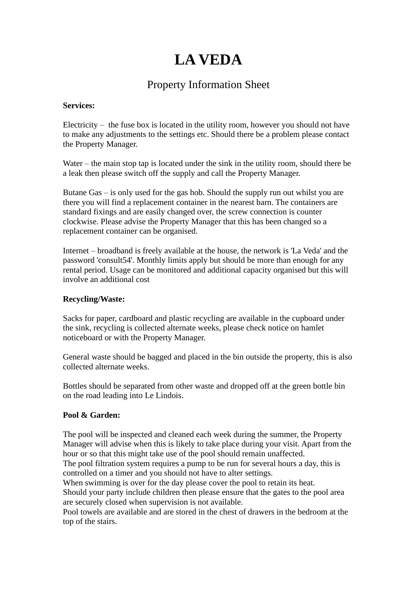# **LA VEDA**

# Property Information Sheet

#### **Services:**

Electricity  $-$  the fuse box is located in the utility room, however you should not have to make any adjustments to the settings etc. Should there be a problem please contact the Property Manager.

Water – the main stop tap is located under the sink in the utility room, should there be a leak then please switch off the supply and call the Property Manager.

Butane Gas – is only used for the gas hob. Should the supply run out whilst you are there you will find a replacement container in the nearest barn. The containers are standard fixings and are easily changed over, the screw connection is counter clockwise. Please advise the Property Manager that this has been changed so a replacement container can be organised.

Internet – broadband is freely available at the house, the network is 'La Veda' and the password 'consult54'. Monthly limits apply but should be more than enough for any rental period. Usage can be monitored and additional capacity organised but this will involve an additional cost

### **Recycling/Waste:**

Sacks for paper, cardboard and plastic recycling are available in the cupboard under the sink, recycling is collected alternate weeks, please check notice on hamlet noticeboard or with the Property Manager.

General waste should be bagged and placed in the bin outside the property, this is also collected alternate weeks.

Bottles should be separated from other waste and dropped off at the green bottle bin on the road leading into Le Lindois.

## **Pool & Garden:**

The pool will be inspected and cleaned each week during the summer, the Property Manager will advise when this is likely to take place during your visit. Apart from the hour or so that this might take use of the pool should remain unaffected. The pool filtration system requires a pump to be run for several hours a day, this is

controlled on a timer and you should not have to alter settings.

When swimming is over for the day please cover the pool to retain its heat. Should your party include children then please ensure that the gates to the pool area are securely closed when supervision is not available.

Pool towels are available and are stored in the chest of drawers in the bedroom at the top of the stairs.